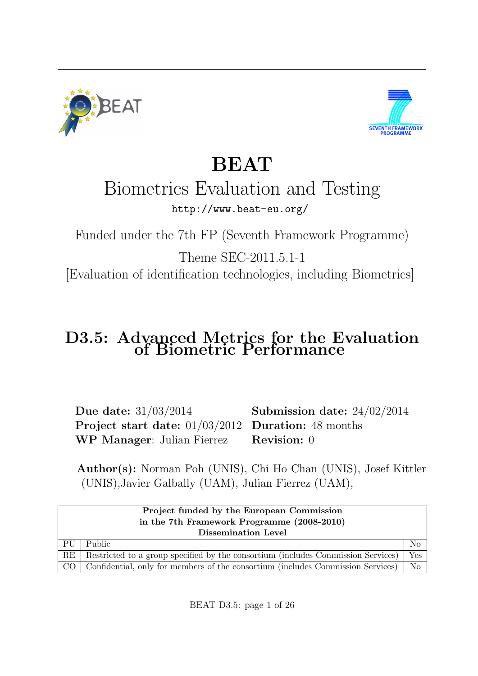



## BEAT

## Biometrics Evaluation and Testing http://www.beat-eu.org/

Funded under the 7th FP (Seventh Framework Programme) Theme SEC-2011.5.1-1 [Evaluation of identification technologies, including Biometrics]

# D3.5: Advanced Metrics for the Evaluation of Biometric Performance

**Due date:** 31/03/2014 **Submission date:** 24/02/2014 Project start date: 01/03/2012 Duration: 48 months WP Manager: Julian Fierrez Revision: 0

Author(s): Norman Poh (UNIS), Chi Ho Chan (UNIS), Josef Kittler (UNIS),Javier Galbally (UAM), Julian Fierrez (UAM),

| Project funded by the European Commission |                                                                                  |      |  |  |  |  |
|-------------------------------------------|----------------------------------------------------------------------------------|------|--|--|--|--|
|                                           | in the 7th Framework Programme (2008-2010)                                       |      |  |  |  |  |
|                                           | Dissemination Level                                                              |      |  |  |  |  |
| PU                                        | Public                                                                           |      |  |  |  |  |
| RE                                        | Restricted to a group specified by the consortium (includes Commission Services) | Yes. |  |  |  |  |
| CO                                        | Confidential, only for members of the consortium (includes Commission Services)  | No   |  |  |  |  |

BEAT D3.5: page 1 of 26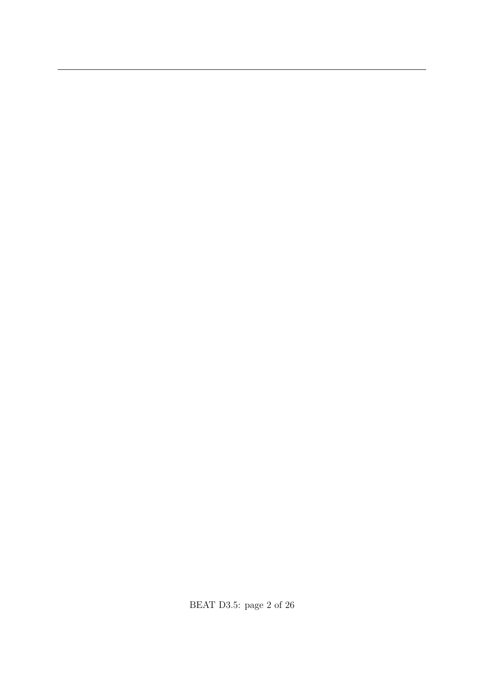BEAT D3.5: page 2 of 26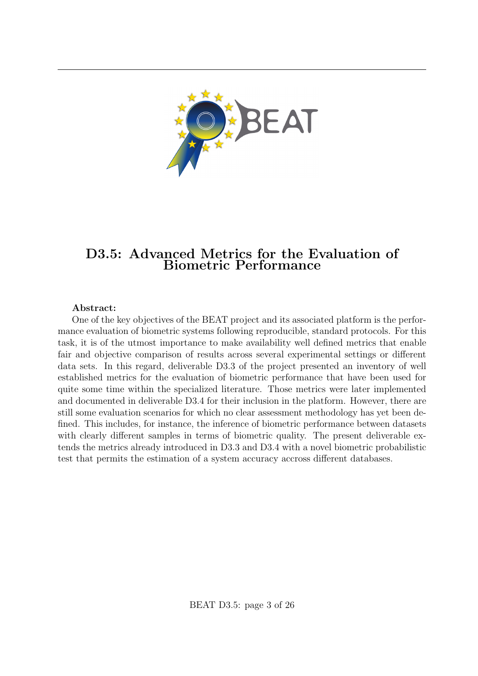

## D3.5: Advanced Metrics for the Evaluation of Biometric Performance

#### Abstract:

One of the key objectives of the BEAT project and its associated platform is the performance evaluation of biometric systems following reproducible, standard protocols. For this task, it is of the utmost importance to make availability well defined metrics that enable fair and objective comparison of results across several experimental settings or different data sets. In this regard, deliverable D3.3 of the project presented an inventory of well established metrics for the evaluation of biometric performance that have been used for quite some time within the specialized literature. Those metrics were later implemented and documented in deliverable D3.4 for their inclusion in the platform. However, there are still some evaluation scenarios for which no clear assessment methodology has yet been defined. This includes, for instance, the inference of biometric performance between datasets with clearly different samples in terms of biometric quality. The present deliverable extends the metrics already introduced in D3.3 and D3.4 with a novel biometric probabilistic test that permits the estimation of a system accuracy accross different databases.

BEAT D3.5: page 3 of 26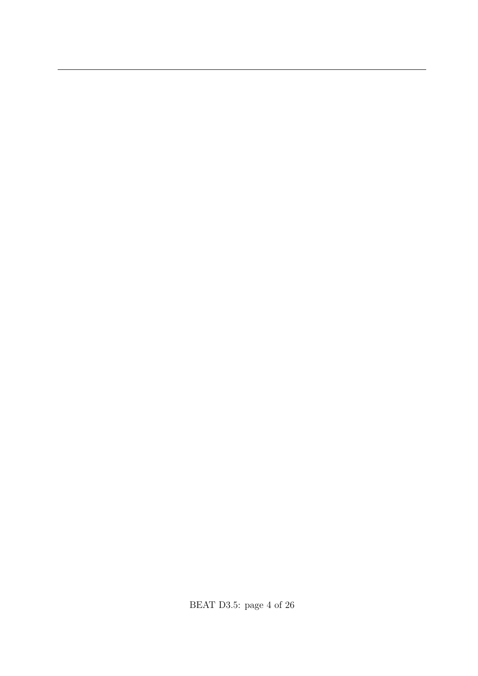BEAT D3.5: page 4 of 26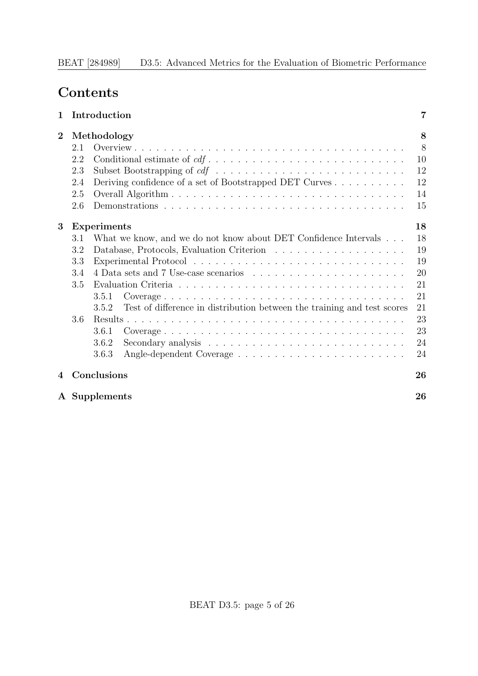## Contents

| 1              |                    | Introduction                                                                              | $\overline{7}$ |  |  |  |  |  |  |
|----------------|--------------------|-------------------------------------------------------------------------------------------|----------------|--|--|--|--|--|--|
| $\overline{2}$ |                    | Methodology                                                                               | 8              |  |  |  |  |  |  |
|                | 2.1                |                                                                                           | 8              |  |  |  |  |  |  |
|                | 2.2                | Conditional estimate of $cdf \dots \dots \dots \dots \dots \dots \dots \dots \dots \dots$ | 10             |  |  |  |  |  |  |
|                | 2.3                |                                                                                           | 12             |  |  |  |  |  |  |
|                | 2.4                | Deriving confidence of a set of Bootstrapped DET Curves                                   | 12             |  |  |  |  |  |  |
|                | 2.5                |                                                                                           | 14             |  |  |  |  |  |  |
|                | 2.6                |                                                                                           | 15             |  |  |  |  |  |  |
| 3              | <b>Experiments</b> |                                                                                           |                |  |  |  |  |  |  |
|                | 3.1                | What we know, and we do not know about DET Confidence Intervals                           | 18             |  |  |  |  |  |  |
|                | 3.2                |                                                                                           | 19             |  |  |  |  |  |  |
|                | 3.3                |                                                                                           | 19             |  |  |  |  |  |  |
|                | 3.4                | 20                                                                                        |                |  |  |  |  |  |  |
|                | 3.5                | 21                                                                                        |                |  |  |  |  |  |  |
|                |                    | 3.5.1                                                                                     | 21             |  |  |  |  |  |  |
|                |                    | Test of difference in distribution between the training and test scores<br>3.5.2          | 21             |  |  |  |  |  |  |
|                | 3.6                |                                                                                           | 23             |  |  |  |  |  |  |
|                |                    | 3.6.1                                                                                     | 23             |  |  |  |  |  |  |
|                |                    | 3.6.2                                                                                     | 24             |  |  |  |  |  |  |
|                |                    | 3.6.3                                                                                     | 24             |  |  |  |  |  |  |
| 4              |                    | Conclusions                                                                               | 26             |  |  |  |  |  |  |
|                |                    | A Supplements                                                                             | 26             |  |  |  |  |  |  |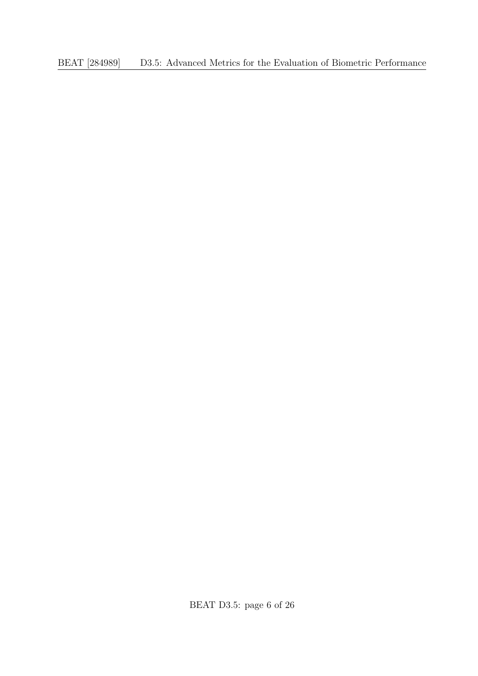BEAT D3.5: page 6 of 26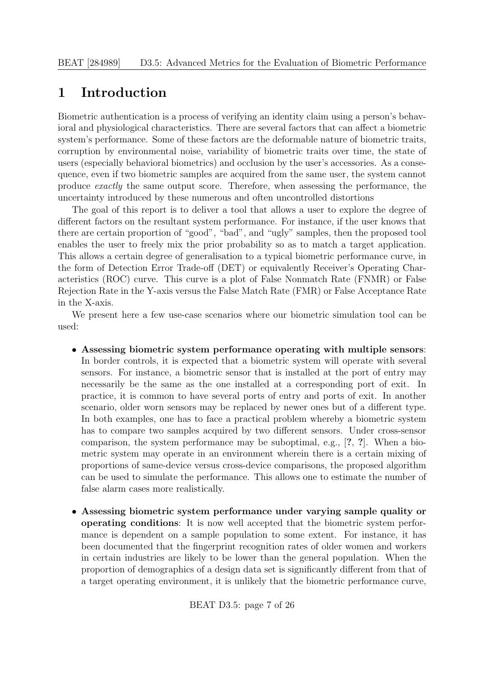## 1 Introduction

Biometric authentication is a process of verifying an identity claim using a person's behavioral and physiological characteristics. There are several factors that can affect a biometric system's performance. Some of these factors are the deformable nature of biometric traits, corruption by environmental noise, variability of biometric traits over time, the state of users (especially behavioral biometrics) and occlusion by the user's accessories. As a consequence, even if two biometric samples are acquired from the same user, the system cannot produce exactly the same output score. Therefore, when assessing the performance, the uncertainty introduced by these numerous and often uncontrolled distortions

The goal of this report is to deliver a tool that allows a user to explore the degree of different factors on the resultant system performance. For instance, if the user knows that there are certain proportion of "good", "bad", and "ugly" samples, then the proposed tool enables the user to freely mix the prior probability so as to match a target application. This allows a certain degree of generalisation to a typical biometric performance curve, in the form of Detection Error Trade-off (DET) or equivalently Receiver's Operating Characteristics (ROC) curve. This curve is a plot of False Nonmatch Rate (FNMR) or False Rejection Rate in the Y-axis versus the False Match Rate (FMR) or False Acceptance Rate in the X-axis.

We present here a few use-case scenarios where our biometric simulation tool can be used:

- Assessing biometric system performance operating with multiple sensors: In border controls, it is expected that a biometric system will operate with several sensors. For instance, a biometric sensor that is installed at the port of entry may necessarily be the same as the one installed at a corresponding port of exit. In practice, it is common to have several ports of entry and ports of exit. In another scenario, older worn sensors may be replaced by newer ones but of a different type. In both examples, one has to face a practical problem whereby a biometric system has to compare two samples acquired by two different sensors. Under cross-sensor comparison, the system performance may be suboptimal, e.g., [?, ?]. When a biometric system may operate in an environment wherein there is a certain mixing of proportions of same-device versus cross-device comparisons, the proposed algorithm can be used to simulate the performance. This allows one to estimate the number of false alarm cases more realistically.
- Assessing biometric system performance under varying sample quality or operating conditions: It is now well accepted that the biometric system performance is dependent on a sample population to some extent. For instance, it has been documented that the fingerprint recognition rates of older women and workers in certain industries are likely to be lower than the general population. When the proportion of demographics of a design data set is significantly different from that of a target operating environment, it is unlikely that the biometric performance curve,

BEAT D3.5: page 7 of 26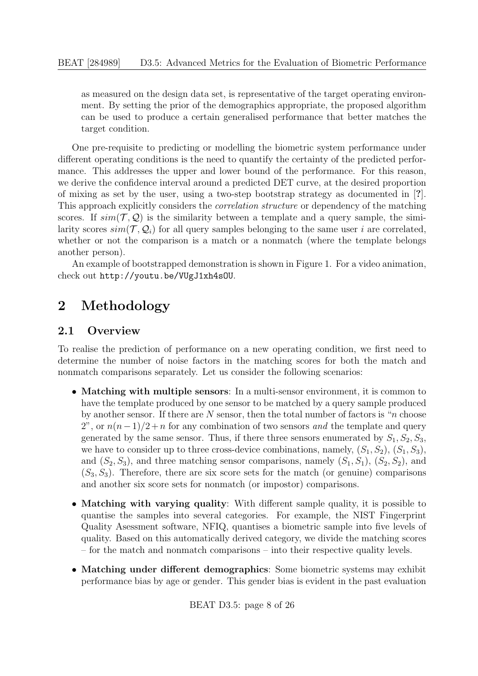as measured on the design data set, is representative of the target operating environment. By setting the prior of the demographics appropriate, the proposed algorithm can be used to produce a certain generalised performance that better matches the target condition.

One pre-requisite to predicting or modelling the biometric system performance under different operating conditions is the need to quantify the certainty of the predicted performance. This addresses the upper and lower bound of the performance. For this reason, we derive the confidence interval around a predicted DET curve, at the desired proportion of mixing as set by the user, using a two-step bootstrap strategy as documented in [?]. This approach explicitly considers the correlation structure or dependency of the matching scores. If  $sim(\mathcal{T}, \mathcal{Q})$  is the similarity between a template and a query sample, the similarity scores  $sim(\mathcal{T}, \mathcal{Q}_i)$  for all query samples belonging to the same user i are correlated, whether or not the comparison is a match or a nonmatch (where the template belongs another person).

An example of bootstrapped demonstration is shown in Figure 1. For a video animation, check out http://youtu.be/VUgJ1xh4sOU.

## 2 Methodology

## 2.1 Overview

To realise the prediction of performance on a new operating condition, we first need to determine the number of noise factors in the matching scores for both the match and nonmatch comparisons separately. Let us consider the following scenarios:

- Matching with multiple sensors: In a multi-sensor environment, it is common to have the template produced by one sensor to be matched by a query sample produced by another sensor. If there are  $N$  sensor, then the total number of factors is "n choose 2", or  $n(n-1)/2 + n$  for any combination of two sensors and the template and query generated by the same sensor. Thus, if there three sensors enumerated by  $S_1, S_2, S_3$ , we have to consider up to three cross-device combinations, namely,  $(S_1, S_2)$ ,  $(S_1, S_3)$ , and  $(S_2, S_3)$ , and three matching sensor comparisons, namely  $(S_1, S_1)$ ,  $(S_2, S_2)$ , and  $(S_3, S_3)$ . Therefore, there are six score sets for the match (or genuine) comparisons and another six score sets for nonmatch (or impostor) comparisons.
- Matching with varying quality: With different sample quality, it is possible to quantise the samples into several categories. For example, the NIST Fingerprint Quality Asessment software, NFIQ, quantises a biometric sample into five levels of quality. Based on this automatically derived category, we divide the matching scores – for the match and nonmatch comparisons – into their respective quality levels.
- Matching under different demographics: Some biometric systems may exhibit performance bias by age or gender. This gender bias is evident in the past evaluation

BEAT D3.5: page 8 of 26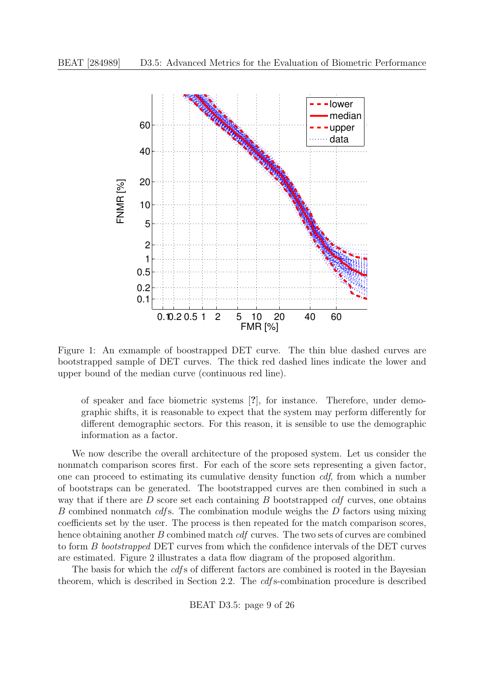

Figure 1: An exmample of boostrapped DET curve. The thin blue dashed curves are bootstrapped sample of DET curves. The thick red dashed lines indicate the lower and upper bound of the median curve (continuous red line).

of speaker and face biometric systems [?], for instance. Therefore, under demographic shifts, it is reasonable to expect that the system may perform differently for different demographic sectors. For this reason, it is sensible to use the demographic information as a factor.

We now describe the overall architecture of the proposed system. Let us consider the nonmatch comparison scores first. For each of the score sets representing a given factor, one can proceed to estimating its cumulative density function cdf, from which a number of bootstraps can be generated. The bootstrapped curves are then combined in such a way that if there are  $D$  score set each containing  $B$  bootstrapped  $cdf$  curves, one obtains B combined nonmatch  $\mathcal{C}dfs$ . The combination module weighs the D factors using mixing coefficients set by the user. The process is then repeated for the match comparison scores, hence obtaining another B combined match *cdf* curves. The two sets of curves are combined to form B bootstrapped DET curves from which the confidence intervals of the DET curves are estimated. Figure 2 illustrates a data flow diagram of the proposed algorithm.

The basis for which the  $cdfs$  of different factors are combined is rooted in the Bayesian theorem, which is described in Section 2.2. The *cdf* s-combination procedure is described

BEAT D3.5: page 9 of 26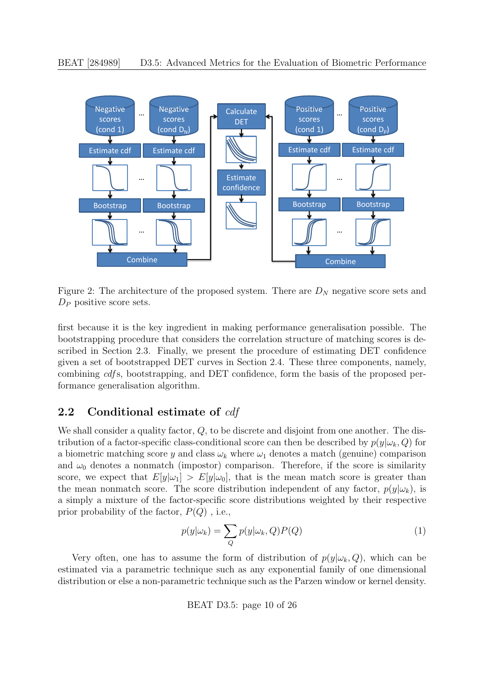

Figure 2: The architecture of the proposed system. There are  $D<sub>N</sub>$  negative score sets and  $D_P$  positive score sets.

first because it is the key ingredient in making performance generalisation possible. The bootstrapping procedure that considers the correlation structure of matching scores is described in Section 2.3. Finally, we present the procedure of estimating DET confidence given a set of bootstrapped DET curves in Section 2.4. These three components, namely, combining *cdf* s, bootstrapping, and DET confidence, form the basis of the proposed performance generalisation algorithm.

## 2.2 Conditional estimate of cdf

We shall consider a quality factor, Q, to be discrete and disjoint from one another. The distribution of a factor-specific class-conditional score can then be described by  $p(y|\omega_k, Q)$  for a biometric matching score y and class  $\omega_k$  where  $\omega_1$  denotes a match (genuine) comparison and  $\omega_0$  denotes a nonmatch (impostor) comparison. Therefore, if the score is similarity score, we expect that  $E[y|\omega_1] > E[y|\omega_0]$ , that is the mean match score is greater than the mean nonmatch score. The score distribution independent of any factor,  $p(y|\omega_k)$ , is a simply a mixture of the factor-specific score distributions weighted by their respective prior probability of the factor,  $P(Q)$ , i.e.,

$$
p(y|\omega_k) = \sum_{Q} p(y|\omega_k, Q)P(Q)
$$
\n(1)

Very often, one has to assume the form of distribution of  $p(y|\omega_k, Q)$ , which can be estimated via a parametric technique such as any exponential family of one dimensional distribution or else a non-parametric technique such as the Parzen window or kernel density.

BEAT D3.5: page 10 of 26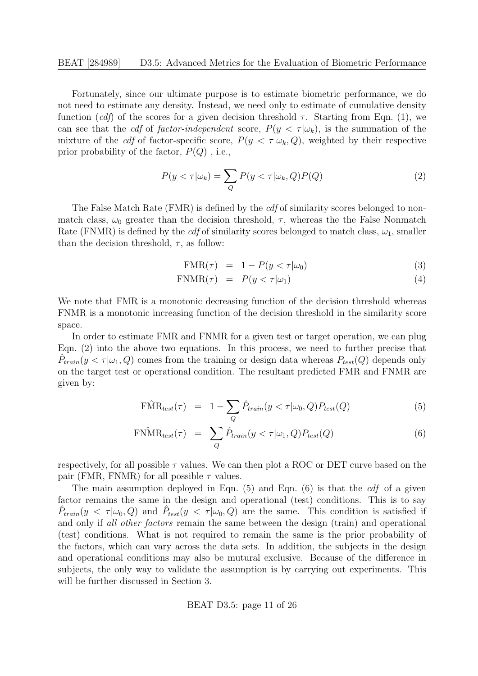Fortunately, since our ultimate purpose is to estimate biometric performance, we do not need to estimate any density. Instead, we need only to estimate of cumulative density function  $(cd)$  of the scores for a given decision threshold  $\tau$ . Starting from Eqn. (1), we can see that the *cdf* of factor-independent score,  $P(y < \tau | \omega_k)$ , is the summation of the mixture of the *cdf* of factor-specific score,  $P(y < \tau | \omega_k, Q)$ , weighted by their respective prior probability of the factor,  $P(Q)$ , i.e.,

$$
P(y < \tau | \omega_k) = \sum_{Q} P(y < \tau | \omega_k, Q) P(Q)
$$
\n<sup>(2)</sup>

The False Match Rate (FMR) is defined by the *cdf* of similarity scores belonged to nonmatch class,  $\omega_0$  greater than the decision threshold,  $\tau$ , whereas the the False Nonmatch Rate (FNMR) is defined by the *cdf* of similarity scores belonged to match class,  $\omega_1$ , smaller than the decision threshold,  $\tau$ , as follow:

$$
\text{FMR}(\tau) = 1 - P(y < \tau | \omega_0) \tag{3}
$$

$$
FNMR(\tau) = P(y < \tau | \omega_1)
$$
\n(4)

We note that FMR is a monotonic decreasing function of the decision threshold whereas FNMR is a monotonic increasing function of the decision threshold in the similarity score space.

In order to estimate FMR and FNMR for a given test or target operation, we can plug Eqn. (2) into the above two equations. In this process, we need to further precise that  $\hat{P}_{train}(y < \tau | \omega_1, Q)$  comes from the training or design data whereas  $P_{test}(Q)$  depends only on the target test or operational condition. The resultant predicted FMR and FNMR are given by:

$$
\widehat{\text{FMR}}_{test}(\tau) = 1 - \sum_{Q} \widehat{P}_{train}(y < \tau | \omega_0, Q) P_{test}(Q) \tag{5}
$$

$$
\text{FN}\hat{\text{MR}}_{test}(\tau) = \sum_{Q} \hat{P}_{train}(y < \tau | \omega_1, Q) P_{test}(Q) \tag{6}
$$

respectively, for all possible  $\tau$  values. We can then plot a ROC or DET curve based on the pair (FMR, FNMR) for all possible  $\tau$  values.

The main assumption deployed in Eqn.  $(5)$  and Eqn.  $(6)$  is that the *cdf* of a given factor remains the same in the design and operational (test) conditions. This is to say  $\hat{P}_{train}(y < \tau | \omega_0, Q)$  and  $\hat{P}_{test}(y < \tau | \omega_0, Q)$  are the same. This condition is satisfied if and only if all other factors remain the same between the design (train) and operational (test) conditions. What is not required to remain the same is the prior probability of the factors, which can vary across the data sets. In addition, the subjects in the design and operational conditions may also be mutural exclusive. Because of the difference in subjects, the only way to validate the assumption is by carrying out experiments. This will be further discussed in Section 3.

#### BEAT D3.5: page 11 of 26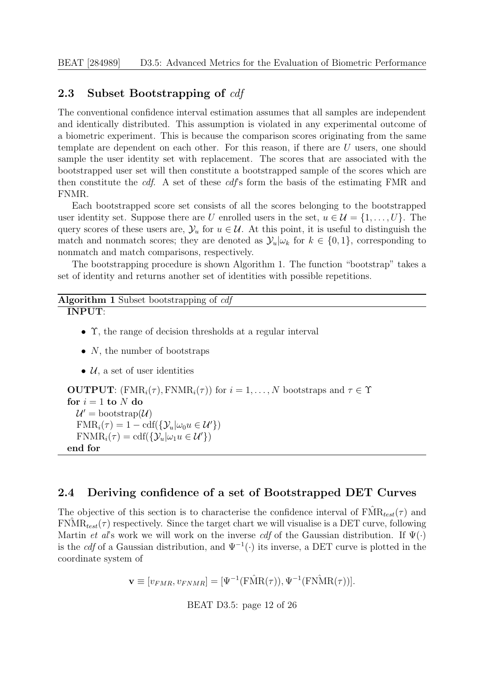## 2.3 Subset Bootstrapping of cdf

The conventional confidence interval estimation assumes that all samples are independent and identically distributed. This assumption is violated in any experimental outcome of a biometric experiment. This is because the comparison scores originating from the same template are dependent on each other. For this reason, if there are U users, one should sample the user identity set with replacement. The scores that are associated with the bootstrapped user set will then constitute a bootstrapped sample of the scores which are then constitute the cdf. A set of these cdf's form the basis of the estimating FMR and FNMR.

Each bootstrapped score set consists of all the scores belonging to the bootstrapped user identity set. Suppose there are U enrolled users in the set,  $u \in \mathcal{U} = \{1, \ldots, U\}$ . The query scores of these users are,  $\mathcal{Y}_u$  for  $u \in \mathcal{U}$ . At this point, it is useful to distinguish the match and nonmatch scores; they are denoted as  $\mathcal{Y}_u|\omega_k$  for  $k \in \{0,1\}$ , corresponding to nonmatch and match comparisons, respectively.

The bootstrapping procedure is shown Algorithm 1. The function "bootstrap" takes a set of identity and returns another set of identities with possible repetitions.

```
Algorithm 1 Subset bootstrapping of cdf
 INPUT:
```
- Υ, the range of decision thresholds at a regular interval
- $N$ , the number of bootstraps
- $U$ , a set of user identities

```
OUTPUT: (FMR<sub>i</sub>(\tau), FNMR<sub>i</sub>(\tau)) for i = 1, ..., N bootstraps and \tau \in \Upsilonfor i = 1 to N do
    \mathcal{U}' = \text{bootstrap}(\mathcal{U})FMR_i(\tau) = 1 - \text{cdf}(\{\mathcal{Y}_u | \omega_0 u \in \mathcal{U}'\})\text{FNMR}_{i}(\tau) = \text{cdf}(\{\mathcal{Y}_{u}|\omega_{1}u \in \mathcal{U}'\})end for
```
## 2.4 Deriving confidence of a set of Bootstrapped DET Curves

The objective of this section is to characterise the confidence interval of  $\hat{\text{FMR}}_{test}(\tau)$  and  $\widehat{\text{FNMR}}_{test}(\tau)$  respectively. Since the target chart we will visualise is a DET curve, following Martin *et al's* work we will work on the inverse *cdf* of the Gaussian distribution. If  $\Psi(\cdot)$ is the cdf of a Gaussian distribution, and  $\Psi^{-1}(\cdot)$  its inverse, a DET curve is plotted in the coordinate system of

 $\mathbf{v} \equiv [v_{FMR}, v_{FNMR}] = [\Psi^{-1}(\widehat{\text{FMR}}(\tau)), \Psi^{-1}(\text{FNR}(\tau))].$ 

BEAT D3.5: page 12 of 26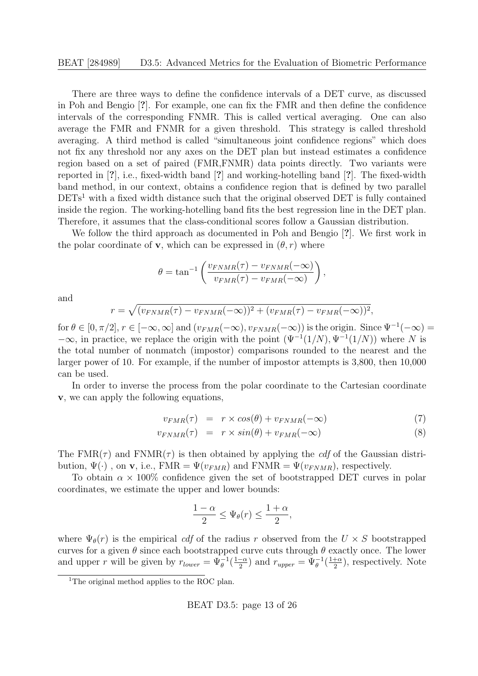There are three ways to define the confidence intervals of a DET curve, as discussed in Poh and Bengio [?]. For example, one can fix the FMR and then define the confidence intervals of the corresponding FNMR. This is called vertical averaging. One can also average the FMR and FNMR for a given threshold. This strategy is called threshold averaging. A third method is called "simultaneous joint confidence regions" which does not fix any threshold nor any axes on the DET plan but instead estimates a confidence region based on a set of paired (FMR,FNMR) data points directly. Two variants were reported in [?], i.e., fixed-width band [?] and working-hotelling band [?]. The fixed-width band method, in our context, obtains a confidence region that is defined by two parallel  $DETs<sup>1</sup>$  with a fixed width distance such that the original observed  $DET$  is fully contained inside the region. The working-hotelling band fits the best regression line in the DET plan. Therefore, it assumes that the class-conditional scores follow a Gaussian distribution.

We follow the third approach as documented in Poh and Bengio [?]. We first work in the polar coordinate of **v**, which can be expressed in  $(\theta, r)$  where

$$
\theta = \tan^{-1} \left( \frac{v_{F N M R}(\tau) - v_{F N M R}(-\infty)}{v_{F M R}(\tau) - v_{F M R}(-\infty)} \right),
$$

and

$$
r = \sqrt{(v_{FNMR}(\tau) - v_{FNMR}(-\infty))^2 + (v_{FMR}(\tau) - v_{FMR}(-\infty))^2},
$$

for  $\theta \in [0, \pi/2], r \in [-\infty, \infty]$  and  $(v_{FMR}(-\infty), v_{FNMR}(-\infty))$  is the origin. Since  $\Psi^{-1}(-\infty) =$  $-\infty$ , in practice, we replace the origin with the point  $(\Psi^{-1}(1/N), \Psi^{-1}(1/N))$  where N is the total number of nonmatch (impostor) comparisons rounded to the nearest and the larger power of 10. For example, if the number of impostor attempts is 3,800, then 10,000 can be used.

In order to inverse the process from the polar coordinate to the Cartesian coordinate v, we can apply the following equations,

$$
v_{FMR}(\tau) = r \times \cos(\theta) + v_{FNMR}(-\infty) \tag{7}
$$

$$
v_{FNMR}(\tau) = r \times \sin(\theta) + v_{FMR}(-\infty) \tag{8}
$$

The FMR( $\tau$ ) and FNMR( $\tau$ ) is then obtained by applying the *cdf* of the Gaussian distribution,  $\Psi(\cdot)$ , on **v**, i.e., FMR =  $\Psi(v_{FMR})$  and FNMR =  $\Psi(v_{FNMR})$ , respectively.

To obtain  $\alpha \times 100\%$  confidence given the set of bootstrapped DET curves in polar coordinates, we estimate the upper and lower bounds:

$$
\frac{1-\alpha}{2} \le \Psi_{\theta}(r) \le \frac{1+\alpha}{2},
$$

where  $\Psi_{\theta}(r)$  is the empirical cdf of the radius r observed from the  $U \times S$  bootstrapped curves for a given  $\theta$  since each bootstrapped curve cuts through  $\theta$  exactly once. The lower and upper r will be given by  $r_{lower} = \Psi_{\theta}^{-1}(\frac{1-\alpha}{2})$  $\frac{(-\alpha)}{2}$ ) and  $r_{upper} = \Psi_{\theta}^{-1}(\frac{1+\alpha}{2})$  $\frac{1}{2}$ , respectively. Note

BEAT D3.5: page 13 of 26

<sup>&</sup>lt;sup>1</sup>The original method applies to the ROC plan.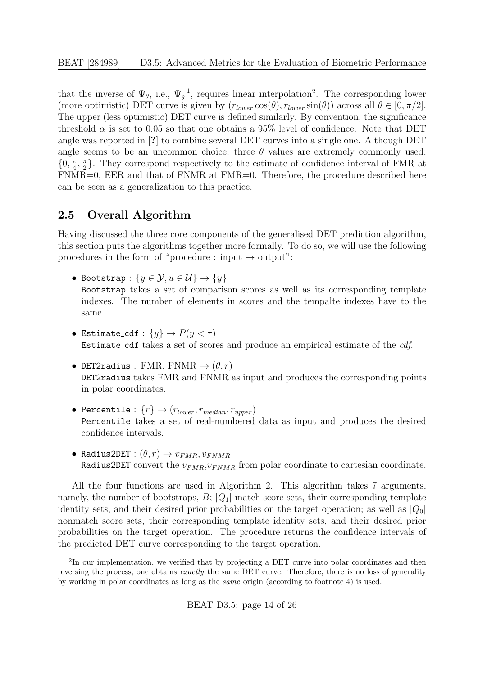that the inverse of  $\Psi_{\theta}$ , i.e.,  $\Psi_{\theta}^{-1}$ , requires linear interpolation<sup>2</sup>. The corresponding lower (more optimistic) DET curve is given by  $(r_{lower}\cos(\theta), r_{lower}\sin(\theta))$  across all  $\theta \in [0, \pi/2]$ . The upper (less optimistic) DET curve is defined similarly. By convention, the significance threshold  $\alpha$  is set to 0.05 so that one obtains a 95% level of confidence. Note that DET angle was reported in [?] to combine several DET curves into a single one. Although DET angle seems to be an uncommon choice, three  $\theta$  values are extremely commonly used:  $\{0, \frac{\pi}{4}$  $\frac{\pi}{4}$ ,  $\frac{\pi}{2}$  $\frac{\pi}{2}$ . They correspond respectively to the estimate of confidence interval of FMR at FNMR=0, EER and that of FNMR at FMR=0. Therefore, the procedure described here can be seen as a generalization to this practice.

## 2.5 Overall Algorithm

Having discussed the three core components of the generalised DET prediction algorithm, this section puts the algorithms together more formally. To do so, we will use the following procedures in the form of "procedure : input  $\rightarrow$  output":

- Bootstrap :  $\{y \in \mathcal{Y}, u \in \mathcal{U}\} \rightarrow \{y\}$ Bootstrap takes a set of comparison scores as well as its corresponding template indexes. The number of elements in scores and the tempalte indexes have to the same.
- Estimate\_cdf :  $\{y\} \rightarrow P(y < \tau)$ Estimate cdf takes a set of scores and produce an empirical estimate of the *cdf*.
- DET2radius : FMR, FNMR  $\rightarrow (\theta, r)$ DET2radius takes FMR and FNMR as input and produces the corresponding points in polar coordinates.
- Percentile :  $\{r\} \rightarrow (r_{lower}, r_{median}, r_{upper})$ Percentile takes a set of real-numbered data as input and produces the desired confidence intervals.
- Radius2DET :  $(\theta, r) \rightarrow v_{FMR}, v_{FNMR}$ Radius2DET convert the  $v_{FMR}$ ,  $v_{FNMR}$  from polar coordinate to cartesian coordinate.

All the four functions are used in Algorithm 2. This algorithm takes 7 arguments, namely, the number of bootstraps,  $B: |Q_1|$  match score sets, their corresponding template identity sets, and their desired prior probabilities on the target operation; as well as  $|Q_0|$ nonmatch score sets, their corresponding template identity sets, and their desired prior probabilities on the target operation. The procedure returns the confidence intervals of the predicted DET curve corresponding to the target operation.

<sup>&</sup>lt;sup>2</sup>In our implementation, we verified that by projecting a DET curve into polar coordinates and then reversing the process, one obtains *exactly* the same DET curve. Therefore, there is no loss of generality by working in polar coordinates as long as the same origin (according to footnote 4) is used.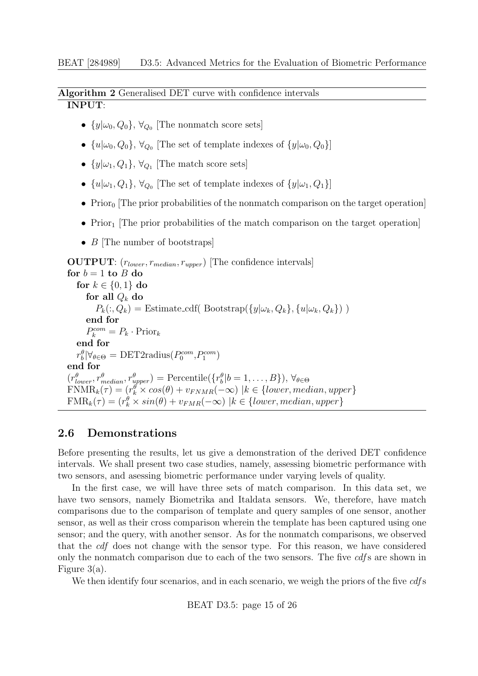Algorithm 2 Generalised DET curve with confidence intervals INPUT:

- $\{y|\omega_0, Q_0\}$ ,  $\forall_{Q_0}$  [The nonmatch score sets]
- $\{u|\omega_0, Q_0\}$ ,  $\forall_{Q_0}$  [The set of template indexes of  $\{y|\omega_0, Q_0\}$ ]
- $\{y|\omega_1, Q_1\}$ ,  $\forall_{Q_1}$  [The match score sets]
- $\{u|\omega_1, Q_1\}$ ,  $\forall_{Q_0}$  [The set of template indexes of  $\{y|\omega_1, Q_1\}$ ]
- Prior<sub>0</sub> [The prior probabilities of the nonmatch comparison on the target operation]
- Prior<sub>1</sub> [The prior probabilities of the match comparison on the target operation]
- $B$  [The number of bootstraps]

```
OUTPUT: (r_{lower}, r_{median}, r_{upper}) [The confidence intervals]
for b = 1 to B do
   for k \in \{0, 1\} do
       for all Q_k do
           P_k(:, Q_k) = Estimate_cdf( Bootstrap(\{y | \omega_k, Q_k\}, \{u | \omega_k, Q_k\}))
       end for
        P_k^{com} = P_k \cdot \text{Prior}_kend for
    r_b^{\theta}|\forall_{\theta \in \Theta} = \text{DET2radius}(P_0^{com}, P_1^{com})end for
(r_{lower}^{\theta}, r_{median}^{\theta}, r_{upper}^{\theta}) = \text{Percentile}(\lbrace r_{b}^{\theta} | b = 1, \ldots, B \rbrace), \forall_{\theta \in \Theta}\text{FNMR}_k(\tau) = (r_k^{\theta} \times \cos(\theta) + v_{\text{FNMR}}(-\infty) \ | k \in \{\text{lower}, \text{median}, \text{upper}\}\\text{FMR}_k(\tau) = (r_k^{\theta} \times \sin(\theta) + v_{FMR}(-\infty)) | k \in \{lower, median, upper\}
```
## 2.6 Demonstrations

Before presenting the results, let us give a demonstration of the derived DET confidence intervals. We shall present two case studies, namely, assessing biometric performance with two sensors, and asessing biometric performance under varying levels of quality.

In the first case, we will have three sets of match comparison. In this data set, we have two sensors, namely Biometrika and Italdata sensors. We, therefore, have match comparisons due to the comparison of template and query samples of one sensor, another sensor, as well as their cross comparison wherein the template has been captured using one sensor; and the query, with another sensor. As for the nonmatch comparisons, we observed that the cdf does not change with the sensor type. For this reason, we have considered only the nonmatch comparison due to each of the two sensors. The five  $\textit{cdfs}$  are shown in Figure 3(a).

We then identify four scenarios, and in each scenario, we weigh the priors of the five cdfs

BEAT D3.5: page 15 of 26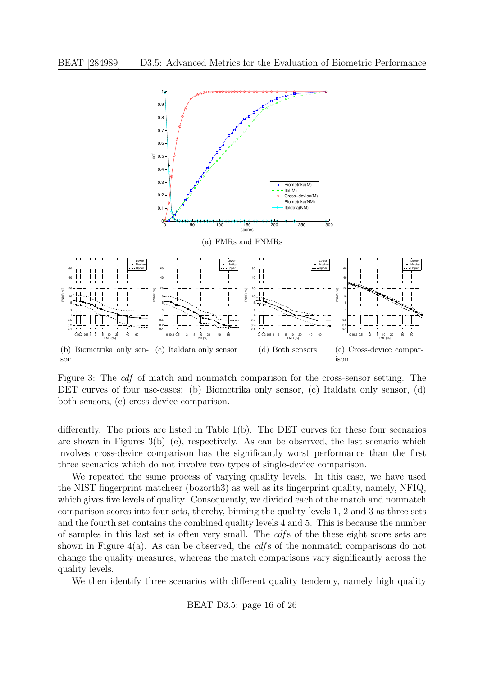

Figure 3: The cdf of match and nonmatch comparison for the cross-sensor setting. The DET curves of four use-cases: (b) Biometrika only sensor, (c) Italdata only sensor, (d) both sensors, (e) cross-device comparison.

differently. The priors are listed in Table 1(b). The DET curves for these four scenarios are shown in Figures  $3(b)$ –(e), respectively. As can be observed, the last scenario which involves cross-device comparison has the significantly worst performance than the first three scenarios which do not involve two types of single-device comparison.

We repeated the same process of varying quality levels. In this case, we have used the NIST fingerprint matcheer (bozorth3) as well as its fingerprint quality, namely, NFIQ, which gives five levels of quality. Consequently, we divided each of the match and nonmatch comparison scores into four sets, thereby, binning the quality levels 1, 2 and 3 as three sets and the fourth set contains the combined quality levels 4 and 5. This is because the number of samples in this last set is often very small. The  $\alpha$  of the these eight score sets are shown in Figure 4(a). As can be observed, the *cdf* s of the nonmatch comparisons do not change the quality measures, whereas the match comparisons vary significantly across the quality levels.

We then identify three scenarios with different quality tendency, namely high quality

BEAT D3.5: page 16 of 26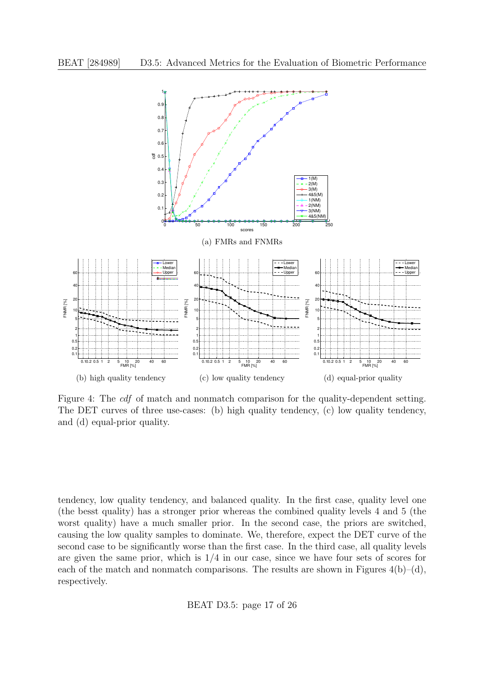

Figure 4: The *cdf* of match and nonmatch comparison for the quality-dependent setting. The DET curves of three use-cases: (b) high quality tendency, (c) low quality tendency, and (d) equal-prior quality.

tendency, low quality tendency, and balanced quality. In the first case, quality level one (the besst quality) has a stronger prior whereas the combined quality levels 4 and 5 (the worst quality) have a much smaller prior. In the second case, the priors are switched, causing the low quality samples to dominate. We, therefore, expect the DET curve of the second case to be significantly worse than the first case. In the third case, all quality levels are given the same prior, which is  $1/4$  in our case, since we have four sets of scores for each of the match and nonmatch comparisons. The results are shown in Figures  $4(b)-(d)$ , respectively.

BEAT D3.5: page 17 of 26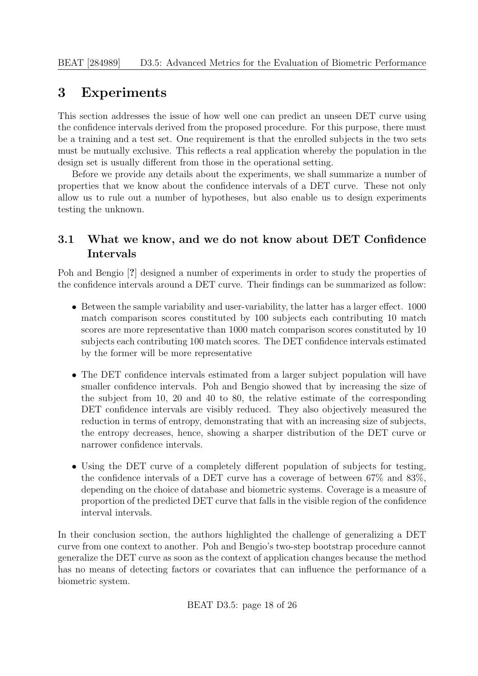## 3 Experiments

This section addresses the issue of how well one can predict an unseen DET curve using the confidence intervals derived from the proposed procedure. For this purpose, there must be a training and a test set. One requirement is that the enrolled subjects in the two sets must be mutually exclusive. This reflects a real application whereby the population in the design set is usually different from those in the operational setting.

Before we provide any details about the experiments, we shall summarize a number of properties that we know about the confidence intervals of a DET curve. These not only allow us to rule out a number of hypotheses, but also enable us to design experiments testing the unknown.

## 3.1 What we know, and we do not know about DET Confidence Intervals

Poh and Bengio [?] designed a number of experiments in order to study the properties of the confidence intervals around a DET curve. Their findings can be summarized as follow:

- Between the sample variability and user-variability, the latter has a larger effect. 1000 match comparison scores constituted by 100 subjects each contributing 10 match scores are more representative than 1000 match comparison scores constituted by 10 subjects each contributing 100 match scores. The DET confidence intervals estimated by the former will be more representative
- The DET confidence intervals estimated from a larger subject population will have smaller confidence intervals. Poh and Bengio showed that by increasing the size of the subject from 10, 20 and 40 to 80, the relative estimate of the corresponding DET confidence intervals are visibly reduced. They also objectively measured the reduction in terms of entropy, demonstrating that with an increasing size of subjects, the entropy decreases, hence, showing a sharper distribution of the DET curve or narrower confidence intervals.
- Using the DET curve of a completely different population of subjects for testing, the confidence intervals of a DET curve has a coverage of between 67% and 83%, depending on the choice of database and biometric systems. Coverage is a measure of proportion of the predicted DET curve that falls in the visible region of the confidence interval intervals.

In their conclusion section, the authors highlighted the challenge of generalizing a DET curve from one context to another. Poh and Bengio's two-step bootstrap procedure cannot generalize the DET curve as soon as the context of application changes because the method has no means of detecting factors or covariates that can influence the performance of a biometric system.

BEAT D3.5: page 18 of 26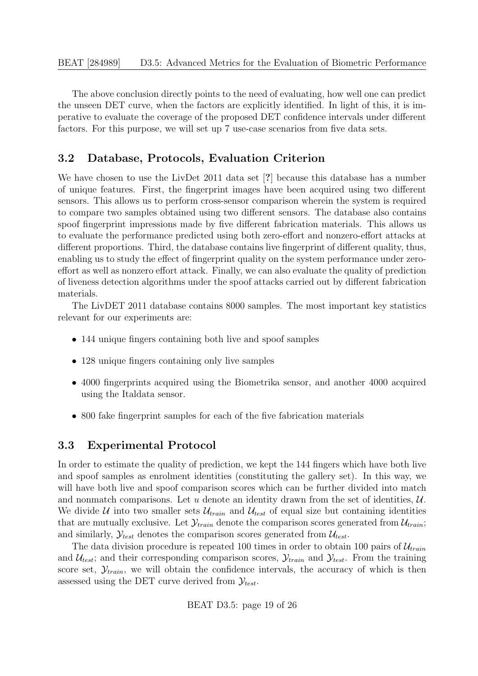The above conclusion directly points to the need of evaluating, how well one can predict the unseen DET curve, when the factors are explicitly identified. In light of this, it is imperative to evaluate the coverage of the proposed DET confidence intervals under different factors. For this purpose, we will set up 7 use-case scenarios from five data sets.

## 3.2 Database, Protocols, Evaluation Criterion

We have chosen to use the LivDet 2011 data set [?] because this database has a number of unique features. First, the fingerprint images have been acquired using two different sensors. This allows us to perform cross-sensor comparison wherein the system is required to compare two samples obtained using two different sensors. The database also contains spoof fingerprint impressions made by five different fabrication materials. This allows us to evaluate the performance predicted using both zero-effort and nonzero-effort attacks at different proportions. Third, the database contains live fingerprint of different quality, thus, enabling us to study the effect of fingerprint quality on the system performance under zeroeffort as well as nonzero effort attack. Finally, we can also evaluate the quality of prediction of liveness detection algorithms under the spoof attacks carried out by different fabrication materials.

The LivDET 2011 database contains 8000 samples. The most important key statistics relevant for our experiments are:

- 144 unique fingers containing both live and spoof samples
- 128 unique fingers containing only live samples
- 4000 fingerprints acquired using the Biometrika sensor, and another 4000 acquired using the Italdata sensor.
- 800 fake fingerprint samples for each of the five fabrication materials

## 3.3 Experimental Protocol

In order to estimate the quality of prediction, we kept the 144 fingers which have both live and spoof samples as enrolment identities (constituting the gallery set). In this way, we will have both live and spoof comparison scores which can be further divided into match and nonmatch comparisons. Let u denote an identity drawn from the set of identities,  $\mathcal{U}$ . We divide U into two smaller sets  $\mathcal{U}_{train}$  and  $\mathcal{U}_{test}$  of equal size but containing identities that are mutually exclusive. Let  $\mathcal{Y}_{train}$  denote the comparison scores generated from  $\mathcal{U}_{train}$ ; and similarly,  $\mathcal{Y}_{test}$  denotes the comparison scores generated from  $\mathcal{U}_{test}$ .

The data division procedure is repeated 100 times in order to obtain 100 pairs of  $\mathcal{U}_{train}$ and  $\mathcal{U}_{test}$ ; and their corresponding comparison scores,  $\mathcal{Y}_{train}$  and  $\mathcal{Y}_{test}$ . From the training score set,  $\mathcal{Y}_{train}$ , we will obtain the confidence intervals, the accuracy of which is then assessed using the DET curve derived from  $\mathcal{Y}_{test}$ .

BEAT D3.5: page 19 of 26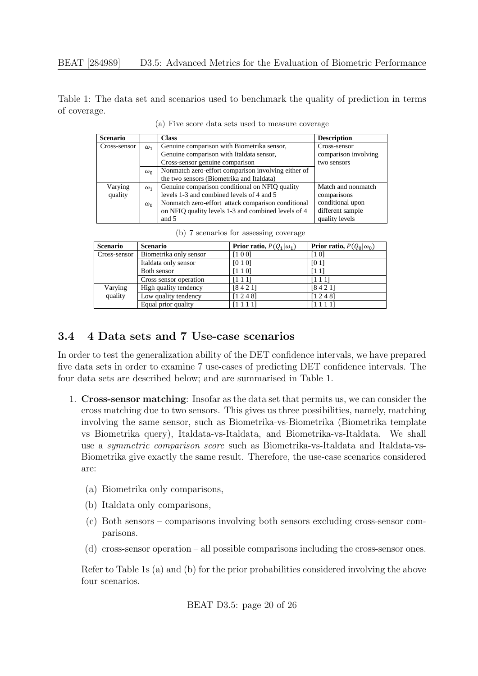Table 1: The data set and scenarios used to benchmark the quality of prediction in terms of coverage.

| <b>Scenario</b> |                                                          | Class                                               | <b>Description</b>   |
|-----------------|----------------------------------------------------------|-----------------------------------------------------|----------------------|
| Cross-sensor    | Genuine comparison with Biometrika sensor,<br>$\omega_1$ |                                                     | Cross-sensor         |
|                 |                                                          | Genuine comparison with Italdata sensor,            | comparison involving |
|                 |                                                          | Cross-sensor genuine comparison                     | two sensors          |
|                 | $\omega_0$                                               | Nonmatch zero-effort comparison involving either of |                      |
|                 |                                                          | the two sensors (Biometrika and Italdata)           |                      |
| Varying         | $\omega_1$                                               | Genuine comparison conditional on NFIQ quality      | Match and nonmatch   |
| quality         | levels 1-3 and combined levels of 4 and 5                |                                                     | comparisons          |
|                 | $\omega_0$                                               | Nonmatch zero-effort attack comparison conditional  | conditional upon     |
|                 |                                                          | on NFIQ quality levels 1-3 and combined levels of 4 | different sample     |
|                 |                                                          | and 5                                               | quality levels       |

|  |  |  |  |  |  |  |  |  | (a) Five score data sets used to measure coverage |
|--|--|--|--|--|--|--|--|--|---------------------------------------------------|
|--|--|--|--|--|--|--|--|--|---------------------------------------------------|

| <b>Scenario</b> | <b>Scenario</b>        | Prior ratio, $P(Q_1 \omega_1)$ | <b>Prior ratio,</b> $P(Q_0 \omega_0)$ |
|-----------------|------------------------|--------------------------------|---------------------------------------|
| Cross-sensor    | Biometrika only sensor | [100]                          | [10]                                  |
|                 | Italdata only sensor   | [010]                          | [01]                                  |
|                 | Both sensor            | [1 1 0]                        | [1 1]                                 |
|                 | Cross sensor operation | [1 1 1]                        | [1 1 1]                               |
| Varying         | High quality tendency  | [8421]                         | [8421]                                |
| quality         | Low quality tendency   | [1248]                         | [1 2 4 8]                             |
|                 | Equal prior quality    |                                |                                       |

|  | (b) 7 scenarios for assessing coverage |  |  |
|--|----------------------------------------|--|--|
|  |                                        |  |  |

#### 3.4 4 Data sets and 7 Use-case scenarios

In order to test the generalization ability of the DET confidence intervals, we have prepared five data sets in order to examine 7 use-cases of predicting DET confidence intervals. The four data sets are described below; and are summarised in Table 1.

- 1. Cross-sensor matching: Insofar as the data set that permits us, we can consider the cross matching due to two sensors. This gives us three possibilities, namely, matching involving the same sensor, such as Biometrika-vs-Biometrika (Biometrika template vs Biometrika query), Italdata-vs-Italdata, and Biometrika-vs-Italdata. We shall use a symmetric comparison score such as Biometrika-vs-Italdata and Italdata-vs-Biometrika give exactly the same result. Therefore, the use-case scenarios considered are:
	- (a) Biometrika only comparisons,
	- (b) Italdata only comparisons,
	- (c) Both sensors comparisons involving both sensors excluding cross-sensor comparisons.
	- (d) cross-sensor operation all possible comparisons including the cross-sensor ones.

Refer to Table 1s (a) and (b) for the prior probabilities considered involving the above four scenarios.

BEAT D3.5: page 20 of 26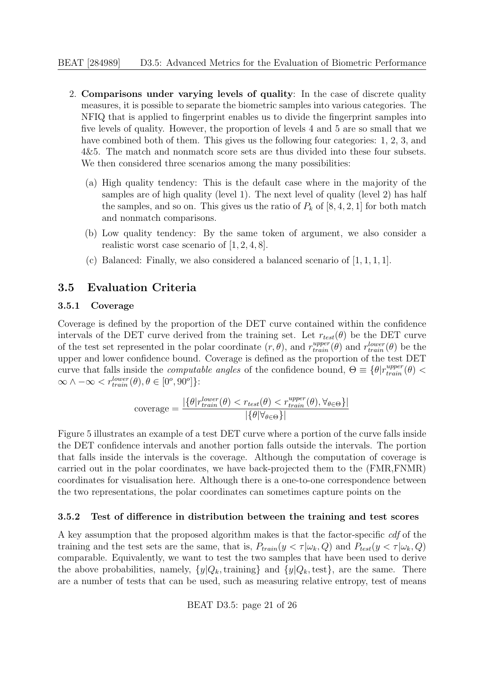- 2. Comparisons under varying levels of quality: In the case of discrete quality measures, it is possible to separate the biometric samples into various categories. The NFIQ that is applied to fingerprint enables us to divide the fingerprint samples into five levels of quality. However, the proportion of levels 4 and 5 are so small that we have combined both of them. This gives us the following four categories: 1, 2, 3, and 4&5. The match and nonmatch score sets are thus divided into these four subsets. We then considered three scenarios among the many possibilities:
	- (a) High quality tendency: This is the default case where in the majority of the samples are of high quality (level 1). The next level of quality (level 2) has half the samples, and so on. This gives us the ratio of  $P_k$  of [8, 4, 2, 1] for both match and nonmatch comparisons.
	- (b) Low quality tendency: By the same token of argument, we also consider a realistic worst case scenario of [1, 2, 4, 8].
	- (c) Balanced: Finally, we also considered a balanced scenario of [1, 1, 1, 1].

## 3.5 Evaluation Criteria

#### 3.5.1 Coverage

Coverage is defined by the proportion of the DET curve contained within the confidence intervals of the DET curve derived from the training set. Let  $r_{test}(\theta)$  be the DET curve of the test set represented in the polar coordinate  $(r, \theta)$ , and  $r_{train}^{upper}(\theta)$  and  $r_{train}^{lower}(\theta)$  be the upper and lower confidence bound. Coverage is defined as the proportion of the test DET curve that falls inside the *computable angles* of the confidence bound,  $\Theta \equiv {\theta | r^{upper}_{train}(\theta) < \theta}$  $\infty \wedge -\infty < r_{train}^{lower}(\theta), \theta \in [0^o, 90^o]$ :

$$
coverage = \frac{|\{\theta|r_{train}^{lower}(\theta) < r_{test}(\theta) < r_{train}^{upper}(\theta), \forall_{\theta \in \Theta}\}|}{|\{\theta|\forall_{\theta \in \Theta}\}|}
$$

Figure 5 illustrates an example of a test DET curve where a portion of the curve falls inside the DET confidence intervals and another portion falls outside the intervals. The portion that falls inside the intervals is the coverage. Although the computation of coverage is carried out in the polar coordinates, we have back-projected them to the (FMR,FNMR) coordinates for visualisation here. Although there is a one-to-one correspondence between the two representations, the polar coordinates can sometimes capture points on the

#### 3.5.2 Test of difference in distribution between the training and test scores

A key assumption that the proposed algorithm makes is that the factor-specific cdf of the training and the test sets are the same, that is,  $P_{train}(y < \tau | \omega_k, Q)$  and  $P_{test}(y < \tau | \omega_k, Q)$ comparable. Equivalently, we want to test the two samples that have been used to derive the above probabilities, namely,  $\{y|Q_k, \text{training}\}$  and  $\{y|Q_k, \text{test}\}$ , are the same. There are a number of tests that can be used, such as measuring relative entropy, test of means

BEAT D3.5: page 21 of 26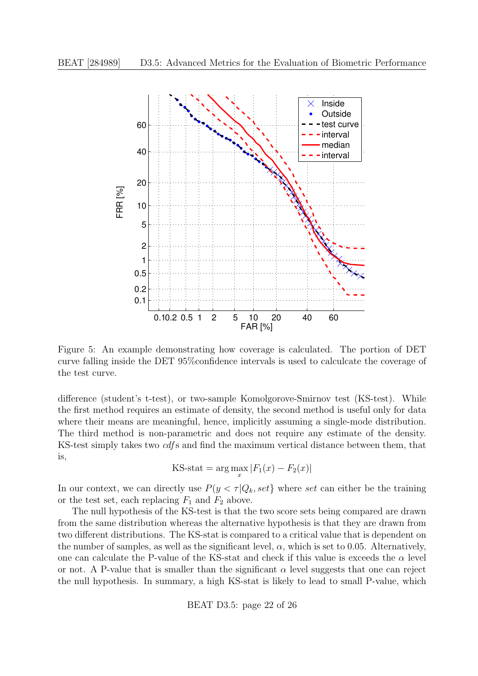

Figure 5: An example demonstrating how coverage is calculated. The portion of DET curve falling inside the DET 95%confidence intervals is used to calculcate the coverage of the test curve.

difference (student's t-test), or two-sample Komolgorove-Smirnov test (KS-test). While the first method requires an estimate of density, the second method is useful only for data where their means are meaningful, hence, implicitly assuming a single-mode distribution. The third method is non-parametric and does not require any estimate of the density. KS-test simply takes two  $\alpha$  dfs and find the maximum vertical distance between them, that is,

$$
KS\text{-stat} = \arg\max_{x} |F_1(x) - F_2(x)|
$$

In our context, we can directly use  $P(y < \tau | Q_k, set)$  where set can either be the training or the test set, each replacing  $F_1$  and  $F_2$  above.

The null hypothesis of the KS-test is that the two score sets being compared are drawn from the same distribution whereas the alternative hypothesis is that they are drawn from two different distributions. The KS-stat is compared to a critical value that is dependent on the number of samples, as well as the significant level,  $\alpha$ , which is set to 0.05. Alternatively, one can calculate the P-value of the KS-stat and check if this value is exceeds the  $\alpha$  level or not. A P-value that is smaller than the significant  $\alpha$  level suggests that one can reject the null hypothesis. In summary, a high KS-stat is likely to lead to small P-value, which

BEAT D3.5: page 22 of 26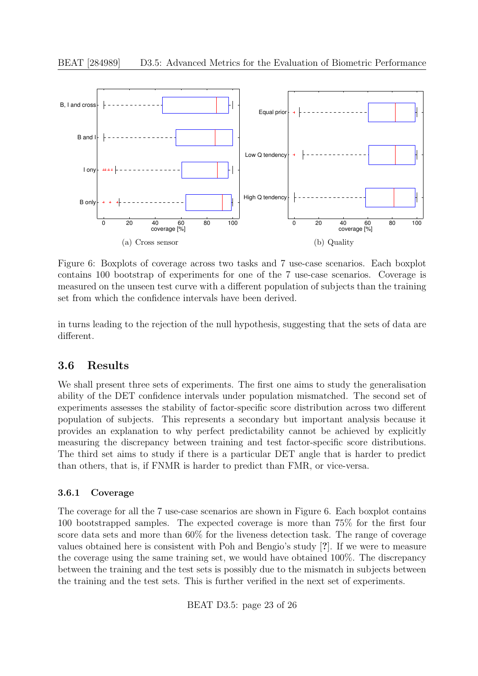

Figure 6: Boxplots of coverage across two tasks and 7 use-case scenarios. Each boxplot contains 100 bootstrap of experiments for one of the 7 use-case scenarios. Coverage is measured on the unseen test curve with a different population of subjects than the training set from which the confidence intervals have been derived.

in turns leading to the rejection of the null hypothesis, suggesting that the sets of data are different.

## 3.6 Results

We shall present three sets of experiments. The first one aims to study the generalisation ability of the DET confidence intervals under population mismatched. The second set of experiments assesses the stability of factor-specific score distribution across two different population of subjects. This represents a secondary but important analysis because it provides an explanation to why perfect predictability cannot be achieved by explicitly measuring the discrepancy between training and test factor-specific score distributions. The third set aims to study if there is a particular DET angle that is harder to predict than others, that is, if FNMR is harder to predict than FMR, or vice-versa.

## 3.6.1 Coverage

The coverage for all the 7 use-case scenarios are shown in Figure 6. Each boxplot contains 100 bootstrapped samples. The expected coverage is more than 75% for the first four score data sets and more than 60% for the liveness detection task. The range of coverage values obtained here is consistent with Poh and Bengio's study [?]. If we were to measure the coverage using the same training set, we would have obtained 100%. The discrepancy between the training and the test sets is possibly due to the mismatch in subjects between the training and the test sets. This is further verified in the next set of experiments.

BEAT D3.5: page 23 of 26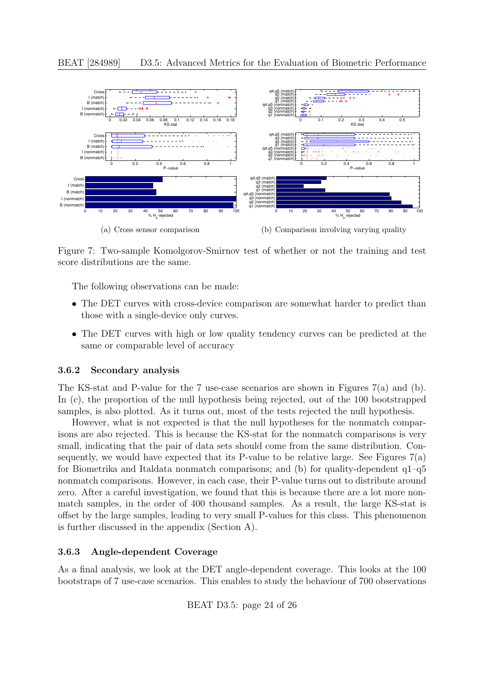

Figure 7: Two-sample Komolgorov-Smirnov test of whether or not the training and test score distributions are the same.

The following observations can be made:

- The DET curves with cross-device comparison are somewhat harder to predict than those with a single-device only curves.
- The DET curves with high or low quality tendency curves can be predicted at the same or comparable level of accuracy

#### 3.6.2 Secondary analysis

The KS-stat and P-value for the 7 use-case scenarios are shown in Figures  $7(a)$  and (b). In (c), the proportion of the null hypothesis being rejected, out of the 100 bootstrapped samples, is also plotted. As it turns out, most of the tests rejected the null hypothesis.

However, what is not expected is that the null hypotheses for the nonmatch comparisons are also rejected. This is because the KS-stat for the nonmatch comparisons is very small, indicating that the pair of data sets should come from the same distribution. Consequently, we would have expected that its P-value to be relative large. See Figures  $7(a)$ for Biometrika and Italdata nonmatch comparisons; and (b) for quality-dependent q1–q5 nonmatch comparisons. However, in each case, their P-value turns out to distribute around zero. After a careful investigation, we found that this is because there are a lot more nonmatch samples, in the order of 400 thousand samples. As a result, the large KS-stat is offset by the large samples, leading to very small P-values for this class. This phenomenon is further discussed in the appendix (Section A).

## 3.6.3 Angle-dependent Coverage

As a final analysis, we look at the DET angle-dependent coverage. This looks at the 100 bootstraps of 7 use-case scenarios. This enables to study the behaviour of 700 observations

BEAT D3.5: page 24 of 26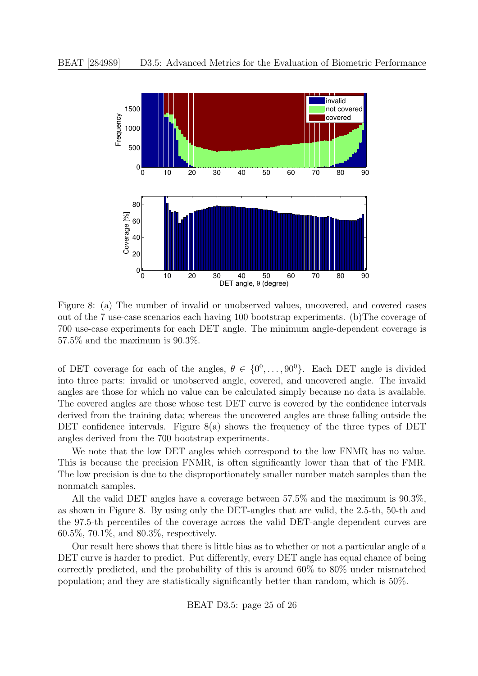

Figure 8: (a) The number of invalid or unobserved values, uncovered, and covered cases out of the 7 use-case scenarios each having 100 bootstrap experiments. (b)The coverage of 700 use-case experiments for each DET angle. The minimum angle-dependent coverage is 57.5% and the maximum is 90.3%.

of DET coverage for each of the angles,  $\theta \in \{0^0, \ldots, 90^0\}$ . Each DET angle is divided into three parts: invalid or unobserved angle, covered, and uncovered angle. The invalid angles are those for which no value can be calculated simply because no data is available. The covered angles are those whose test DET curve is covered by the confidence intervals derived from the training data; whereas the uncovered angles are those falling outside the DET confidence intervals. Figure 8(a) shows the frequency of the three types of DET angles derived from the 700 bootstrap experiments.

We note that the low DET angles which correspond to the low FNMR has no value. This is because the precision FNMR, is often significantly lower than that of the FMR. The low precision is due to the disproportionately smaller number match samples than the nonmatch samples.

All the valid DET angles have a coverage between 57.5% and the maximum is 90.3%, as shown in Figure 8. By using only the DET-angles that are valid, the 2.5-th, 50-th and the 97.5-th percentiles of the coverage across the valid DET-angle dependent curves are 60.5%, 70.1%, and 80.3%, respectively.

Our result here shows that there is little bias as to whether or not a particular angle of a DET curve is harder to predict. Put differently, every DET angle has equal chance of being correctly predicted, and the probability of this is around 60% to 80% under mismatched population; and they are statistically significantly better than random, which is 50%.

BEAT D3.5: page 25 of 26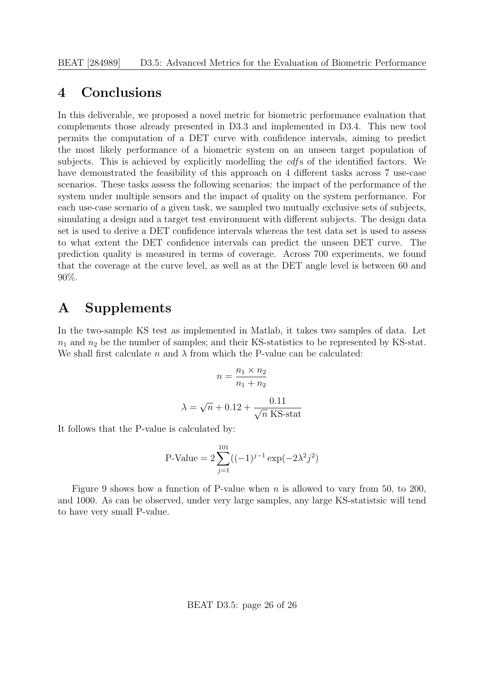## 4 Conclusions

In this deliverable, we proposed a novel metric for biometric performance evaluation that complements those already presented in D3.3 and implemented in D3.4. This new tool permits the computation of a DET curve with confidence intervals, aiming to predict the most likely performance of a biometric system on an unseen target population of subjects. This is achieved by explicitly modelling the *cdf* s of the identified factors. We have demonstrated the feasibility of this approach on 4 different tasks across 7 use-case scenarios. These tasks assess the following scenarios: the impact of the performance of the system under multiple sensors and the impact of quality on the system performance. For each use-case scenario of a given task, we sampled two mutually exclusive sets of subjects, simulating a design and a target test environment with different subjects. The design data set is used to derive a DET confidence intervals whereas the test data set is used to assess to what extent the DET confidence intervals can predict the unseen DET curve. The prediction quality is measured in terms of coverage. Across 700 experiments, we found that the coverage at the curve level, as well as at the DET angle level is between 60 and 90%.

## A Supplements

In the two-sample KS test as implemented in Matlab, it takes two samples of data. Let  $n_1$  and  $n_2$  be the number of samples; and their KS-statistics to be represented by KS-stat. We shall first calculate n and  $\lambda$  from which the P-value can be calculated:

$$
n = \frac{n_1 \times n_2}{n_1 + n_2}
$$

$$
\lambda = \sqrt{n} + 0.12 + \frac{0.11}{\sqrt{n} \text{ KS-stat}}
$$

It follows that the P-value is calculated by:

$$
P\text{-Value} = 2\sum_{j=1}^{101} ((-1)^{j-1} \exp(-2\lambda^2 j^2))
$$

Figure 9 shows how a function of P-value when  $n$  is allowed to vary from 50, to 200, and 1000. As can be observed, under very large samples, any large KS-statistsic will tend to have very small P-value.

BEAT D3.5: page 26 of 26